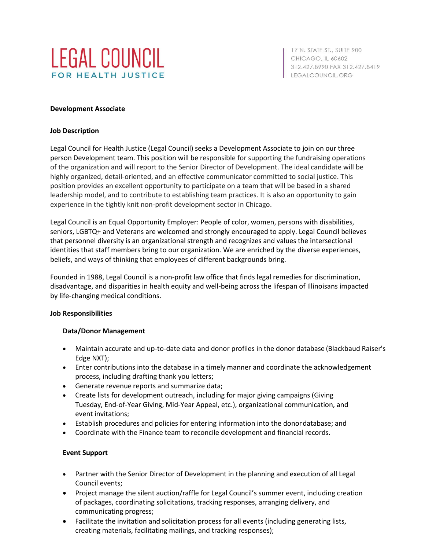

17 N. STATE ST., SUITE 900 **CHICAGO, IL 60602** 312.427.8990 FAX 312.427.8419 LEGALCOUNCIL.ORG

#### **Development Associate**

#### **Job Description**

Legal Council for Health Justice (Legal Council) seeks a Development Associate to join on our three person Development team. This position will be responsible for supporting the fundraising operations of the organization and will report to the Senior Director of Development. The ideal candidate will be highly organized, detail-oriented, and an effective communicator committed to social justice. This position provides an excellent opportunity to participate on a team that will be based in a shared leadership model, and to contribute to establishing team practices. It is also an opportunity to gain experience in the tightly knit non-profit development sector in Chicago.

Legal Council is an Equal Opportunity Employer: People of color, women, persons with disabilities, seniors, LGBTQ+ and Veterans are welcomed and strongly encouraged to apply. Legal Council believes that personnel diversity is an organizational strength and recognizes and values the intersectional identities that staff members bring to our organization. We are enriched by the diverse experiences, beliefs, and ways of thinking that employees of different backgrounds bring.

Founded in 1988, Legal Council is a non-profit law office that finds legal remedies for discrimination, disadvantage, and disparities in health equity and well-being across the lifespan of Illinoisans impacted by life-changing medical conditions.

#### **Job Responsibilities**

### **Data/Donor Management**

- Maintain accurate and up-to-date data and donor profiles in the donor database (Blackbaud Raiser's Edge NXT);
- Enter contributions into the database in a timely manner and coordinate the acknowledgement process, including drafting thank you letters;
- Generate revenue reports and summarize data;
- Create lists for development outreach, including for major giving campaigns (Giving Tuesday, End-of-Year Giving, Mid-Year Appeal, etc.), organizational communication, and event invitations;
- Establish procedures and policies for entering information into the donordatabase; and
- Coordinate with the Finance team to reconcile development and financial records.

### **Event Support**

- Partner with the Senior Director of Development in the planning and execution of all Legal Council events;
- Project manage the silent auction/raffle for Legal Council's summer event, including creation of packages, coordinating solicitations, tracking responses, arranging delivery, and communicating progress;
- Facilitate the invitation and solicitation process for all events (including generating lists, creating materials, facilitating mailings, and tracking responses);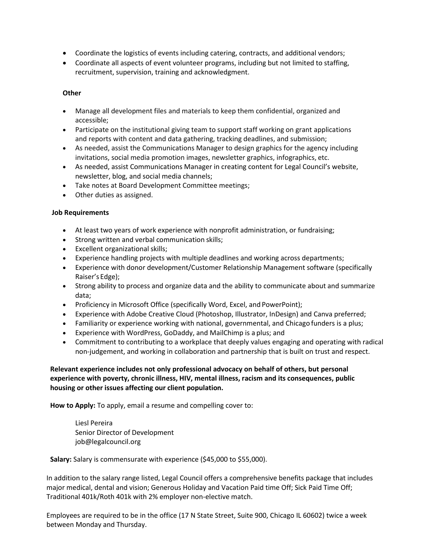- Coordinate the logistics of events including catering, contracts, and additional vendors;
- Coordinate all aspects of event volunteer programs, including but not limited to staffing, recruitment, supervision, training and acknowledgment.

## **Other**

- Manage all development files and materials to keep them confidential, organized and accessible;
- Participate on the institutional giving team to support staff working on grant applications and reports with content and data gathering, tracking deadlines, and submission;
- As needed, assist the Communications Manager to design graphics for the agency including invitations, social media promotion images, newsletter graphics, infographics, etc.
- As needed, assist Communications Manager in creating content for Legal Council's website, newsletter, blog, and social media channels;
- Take notes at Board Development Committee meetings;
- Other duties as assigned.

### **Job Requirements**

- At least two years of work experience with nonprofit administration, or fundraising;
- Strong written and verbal communication skills;
- Excellent organizational skills;
- Experience handling projects with multiple deadlines and working across departments;
- Experience with donor development/Customer Relationship Management software (specifically Raiser's Edge);
- Strong ability to process and organize data and the ability to communicate about and summarize data;
- Proficiency in Microsoft Office (specifically Word, Excel, and PowerPoint);
- Experience with Adobe Creative Cloud (Photoshop, Illustrator, InDesign) and Canva preferred;
- Familiarity or experience working with national, governmental, and Chicago funders is a plus;
- Experience with WordPress, GoDaddy, and MailChimp is a plus; and
- Commitment to contributing to a workplace that deeply values engaging and operating with radical non-judgement, and working in collaboration and partnership that is built on trust and respect.

# **Relevant experience includes not only professional advocacy on behalf of others, but personal experience with poverty, chronic illness, HIV, mental illness, racism and its consequences, public housing or other issues affecting our client population.**

**How to Apply:** To apply, email a resume and compelling cover to:

Liesl Pereira Senior Director of Development [job@legalcouncil.org](mailto:job@legalcouncil.org)

**Salary:** Salary is commensurate with experience (\$45,000 to \$55,000).

In addition to the salary range listed, Legal Council offers a comprehensive benefits package that includes major medical, dental and vision; Generous Holiday and Vacation Paid time Off; Sick Paid Time Off; Traditional 401k/Roth 401k with 2% employer non-elective match.

Employees are required to be in the office (17 N State Street, Suite 900, Chicago IL 60602) twice a week between Monday and Thursday.